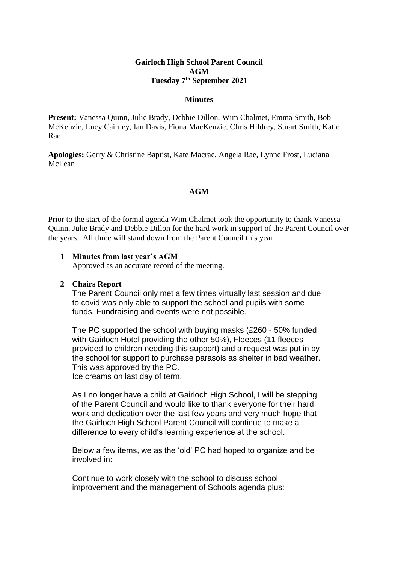# **Gairloch High School Parent Council AGM Tuesday 7 th September 2021**

#### **Minutes**

**Present:** Vanessa Quinn, Julie Brady, Debbie Dillon, Wim Chalmet, Emma Smith, Bob McKenzie, Lucy Cairney, Ian Davis, Fiona MacKenzie, Chris Hildrey, Stuart Smith, Katie Rae

**Apologies:** Gerry & Christine Baptist, Kate Macrae, Angela Rae, Lynne Frost, Luciana McLean

## **AGM**

Prior to the start of the formal agenda Wim Chalmet took the opportunity to thank Vanessa Quinn, Julie Brady and Debbie Dillon for the hard work in support of the Parent Council over the years. All three will stand down from the Parent Council this year.

#### **1 Minutes from last year's AGM**

Approved as an accurate record of the meeting.

## **2 Chairs Report**

The Parent Council only met a few times virtually last session and due to covid was only able to support the school and pupils with some funds. Fundraising and events were not possible.

The PC supported the school with buying masks (£260 - 50% funded with Gairloch Hotel providing the other 50%), Fleeces (11 fleeces provided to children needing this support) and a request was put in by the school for support to purchase parasols as shelter in bad weather. This was approved by the PC. Ice creams on last day of term.

As I no longer have a child at Gairloch High School, I will be stepping of the Parent Council and would like to thank everyone for their hard work and dedication over the last few years and very much hope that the Gairloch High School Parent Council will continue to make a difference to every child's learning experience at the school.

Below a few items, we as the 'old' PC had hoped to organize and be involved in:

Continue to work closely with the school to discuss school improvement and the management of Schools agenda plus: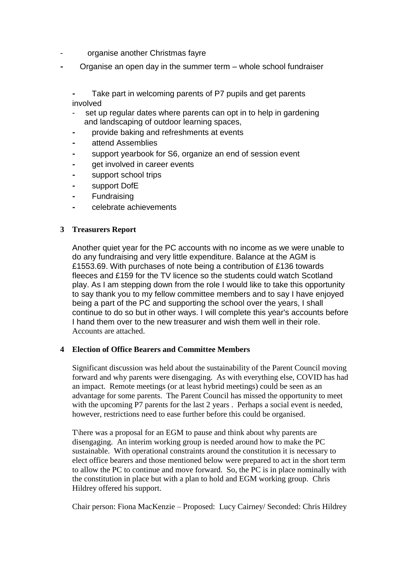- organise another Christmas fayre
- Organise an open day in the summer term whole school fundraiser

Take part in welcoming parents of P7 pupils and get parents involved

- set up regular dates where parents can opt in to help in gardening and landscaping of outdoor learning spaces,
- ⁃ provide baking and refreshments at events
- ⁃ attend Assemblies
- ⁃ support yearbook for S6, organize an end of session event
- get involved in career events
- ⁃ support school trips
- ⁃ support DofE
- ⁃ Fundraising
- ⁃ celebrate achievements

# **3 Treasurers Report**

Another quiet year for the PC accounts with no income as we were unable to do any fundraising and very little expenditure. Balance at the AGM is £1553.69. With purchases of note being a contribution of £136 towards fleeces and £159 for the TV licence so the students could watch Scotland play. As I am stepping down from the role I would like to take this opportunity to say thank you to my fellow committee members and to say I have enjoyed being a part of the PC and supporting the school over the years, I shall continue to do so but in other ways. I will complete this year's accounts before I hand them over to the new treasurer and wish them well in their role. Accounts are attached.

## **4 Election of Office Bearers and Committee Members**

Significant discussion was held about the sustainability of the Parent Council moving forward and why parents were disengaging. As with everything else, COVID has had an impact. Remote meetings (or at least hybrid meetings) could be seen as an advantage for some parents. The Parent Council has missed the opportunity to meet with the upcoming P7 parents for the last 2 years . Perhaps a social event is needed, however, restrictions need to ease further before this could be organised.

T\here was a proposal for an EGM to pause and think about why parents are disengaging. An interim working group is needed around how to make the PC sustainable. With operational constraints around the constitution it is necessary to elect office bearers and those mentioned below were prepared to act in the short term to allow the PC to continue and move forward. So, the PC is in place nominally with the constitution in place but with a plan to hold and EGM working group. Chris Hildrey offered his support.

Chair person: Fiona MacKenzie – Proposed: Lucy Cairney/ Seconded: Chris Hildrey